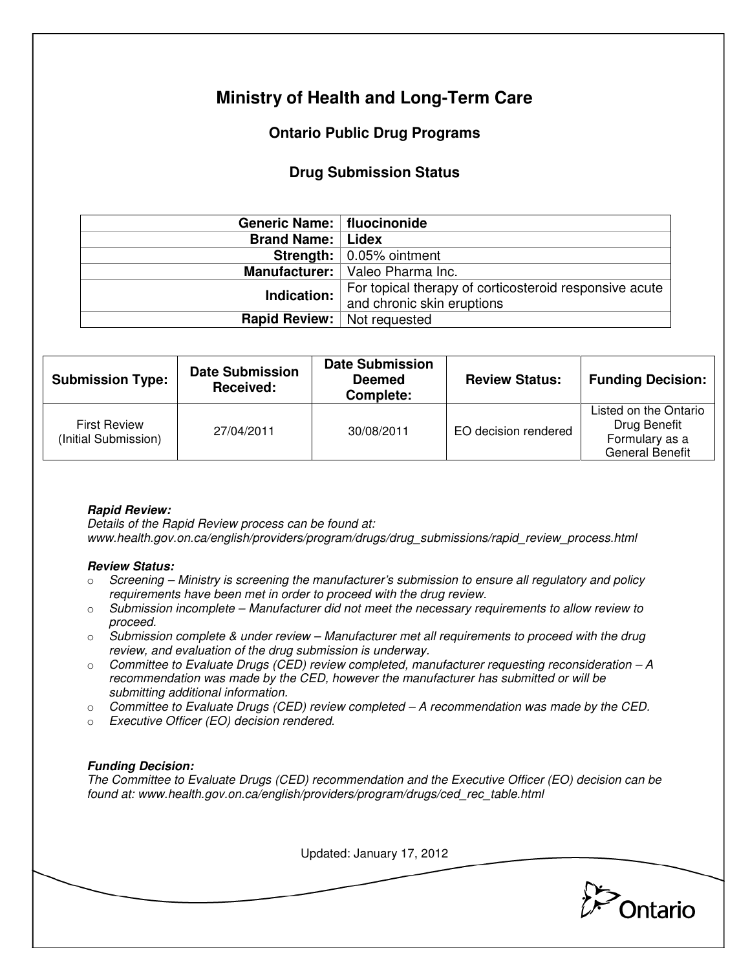# **Ministry of Health and Long-Term Care**

## **Ontario Public Drug Programs**

### **Drug Submission Status**

| Generic Name:   fluocinonide         |                                                        |  |  |
|--------------------------------------|--------------------------------------------------------|--|--|
| <b>Brand Name:   Lidex</b>           |                                                        |  |  |
|                                      | <b>Strength:</b> $\vert$ 0.05% ointment                |  |  |
|                                      | Manufacturer:   Valeo Pharma Inc.                      |  |  |
| Indication:                          | For topical therapy of corticosteroid responsive acute |  |  |
|                                      | and chronic skin eruptions                             |  |  |
| <b>Rapid Review:</b>   Not requested |                                                        |  |  |

| <b>Submission Type:</b>                     | <b>Date Submission</b><br>Received: | <b>Date Submission</b><br><b>Deemed</b><br>Complete: | <b>Review Status:</b> | <b>Funding Decision:</b>                                                          |
|---------------------------------------------|-------------------------------------|------------------------------------------------------|-----------------------|-----------------------------------------------------------------------------------|
| <b>First Review</b><br>(Initial Submission) | 27/04/2011                          | 30/08/2011                                           | EO decision rendered  | Listed on the Ontario<br>Drug Benefit<br>Formulary as a<br><b>General Benefit</b> |

### **Rapid Review:**

Details of the Rapid Review process can be found at: www.health.gov.on.ca/english/providers/program/drugs/drug\_submissions/rapid\_review\_process.html

#### **Review Status:**

- $\circ$  Screening Ministry is screening the manufacturer's submission to ensure all regulatory and policy requirements have been met in order to proceed with the drug review.
- $\circ$  Submission incomplete Manufacturer did not meet the necessary requirements to allow review to proceed.
- $\circ$  Submission complete & under review Manufacturer met all requirements to proceed with the drug review, and evaluation of the drug submission is underway.
- $\circ$  Committee to Evaluate Drugs (CED) review completed, manufacturer requesting reconsideration  $-A$ recommendation was made by the CED, however the manufacturer has submitted or will be submitting additional information.
- $\circ$  Committee to Evaluate Drugs (CED) review completed A recommendation was made by the CED.
- o Executive Officer (EO) decision rendered.

### **Funding Decision:**

The Committee to Evaluate Drugs (CED) recommendation and the Executive Officer (EO) decision can be found at: www.health.gov.on.ca/english/providers/program/drugs/ced\_rec\_table.html

Updated: January 17, 2012

**Pontario**